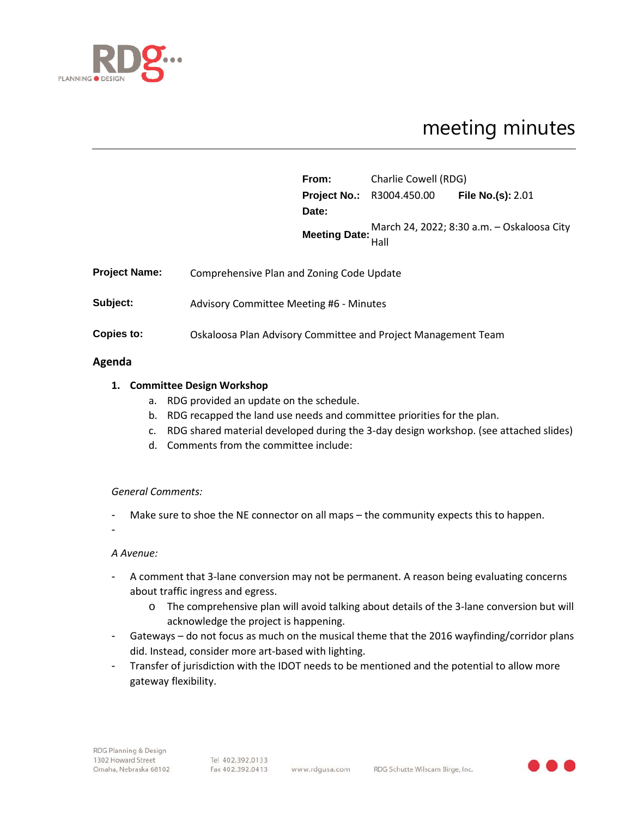

# meeting minutes

|                      |                                                               | From: | Charlie Cowell (RDG)                               |                                            |
|----------------------|---------------------------------------------------------------|-------|----------------------------------------------------|--------------------------------------------|
|                      |                                                               |       | <b>Project No.: R3004.450.00 File No.(s): 2.01</b> |                                            |
|                      |                                                               | Date: |                                                    |                                            |
|                      |                                                               |       | Hall                                               | March 24, 2022; 8:30 a.m. - Oskaloosa City |
| <b>Project Name:</b> | Comprehensive Plan and Zoning Code Update                     |       |                                                    |                                            |
| Subject:             | <b>Advisory Committee Meeting #6 - Minutes</b>                |       |                                                    |                                            |
| <b>Copies to:</b>    | Oskaloosa Plan Advisory Committee and Project Management Team |       |                                                    |                                            |
|                      |                                                               |       |                                                    |                                            |

## **Agenda**

# **1. Committee Design Workshop**

- a. RDG provided an update on the schedule.
- b. RDG recapped the land use needs and committee priorities for the plan.
- c. RDG shared material developed during the 3-day design workshop. (see attached slides)
- d. Comments from the committee include:

## *General Comments:*

- Make sure to shoe the NE connector on all maps the community expects this to happen.
- -

## *A Avenue:*

- A comment that 3-lane conversion may not be permanent. A reason being evaluating concerns about traffic ingress and egress.
	- o The comprehensive plan will avoid talking about details of the 3-lane conversion but will acknowledge the project is happening.
- Gateways do not focus as much on the musical theme that the 2016 wayfinding/corridor plans did. Instead, consider more art-based with lighting.
- Transfer of jurisdiction with the IDOT needs to be mentioned and the potential to allow more gateway flexibility.

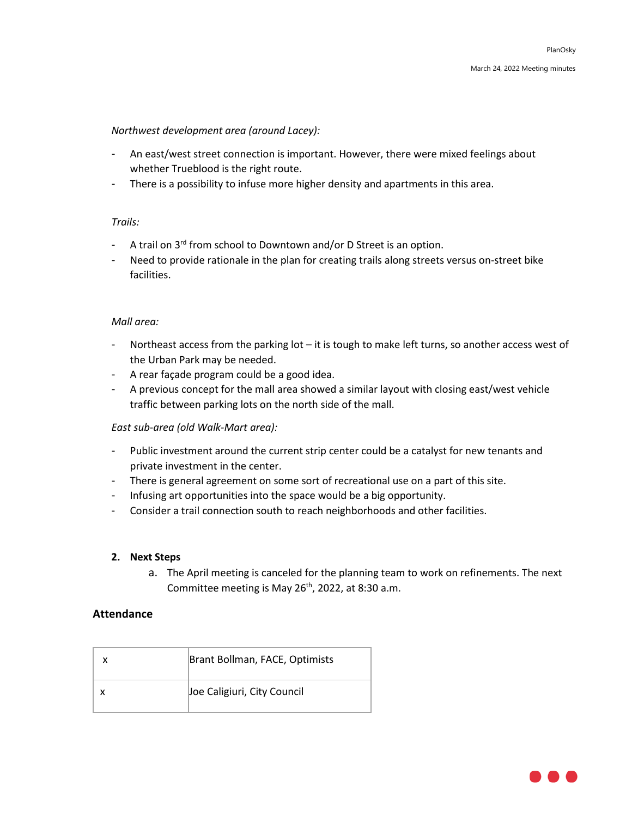## *Northwest development area (around Lacey):*

- An east/west street connection is important. However, there were mixed feelings about whether Trueblood is the right route.
- There is a possibility to infuse more higher density and apartments in this area.

# *Trails:*

- A trail on 3<sup>rd</sup> from school to Downtown and/or D Street is an option.
- Need to provide rationale in the plan for creating trails along streets versus on-street bike facilities.

## *Mall area:*

- Northeast access from the parking lot it is tough to make left turns, so another access west of the Urban Park may be needed.
- A rear façade program could be a good idea.
- A previous concept for the mall area showed a similar layout with closing east/west vehicle traffic between parking lots on the north side of the mall.

## *East sub-area (old Walk-Mart area):*

- Public investment around the current strip center could be a catalyst for new tenants and private investment in the center.
- There is general agreement on some sort of recreational use on a part of this site.
- Infusing art opportunities into the space would be a big opportunity.
- Consider a trail connection south to reach neighborhoods and other facilities.

## **2. Next Steps**

a. The April meeting is canceled for the planning team to work on refinements. The next Committee meeting is May 26<sup>th</sup>, 2022, at 8:30 a.m.

## **Attendance**

| Brant Bollman, FACE, Optimists |
|--------------------------------|
| Joe Caligiuri, City Council    |